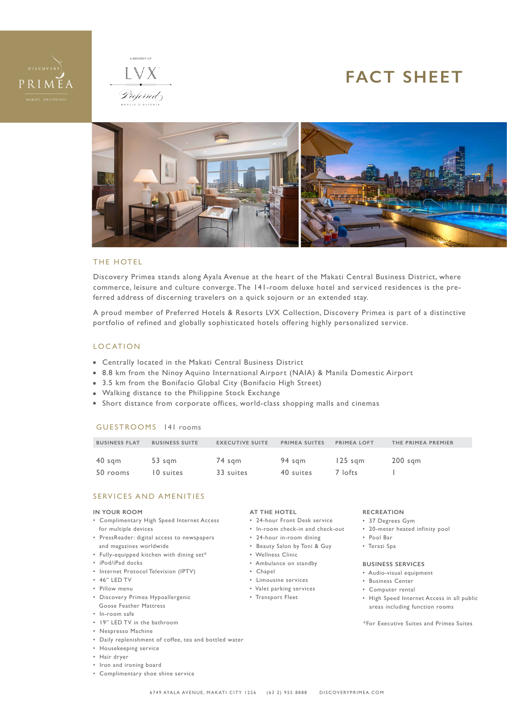



# **FACT SHEET**



#### THE HOTEL

Discovery Primea stands along Ayala Avenue at the heart of the Makati Central Business District, where commerce, leisure and culture converge. The 141-room deluxe hotel and serviced residences is the preferred address of discerning travelers on a quick sojourn or an extended stay.

A proud member of Preferred Hotels & Resorts LVX Collection, Discovery Primea is part of a distinctive portfolio of refined and globally sophisticated hotels offering highly personalized service.

#### LOCATION

- Centrally located in the Makati Central Business District
- 8.8 km from the Ninoy Aquino International Airport (NAIA) & Manila Domestic Airport
- 3.5 km from the Bonifacio Global City (Bonifacio High Street)
- Walking distance to the Philippine Stock Exchange
- Short distance from corporate offices, world-class shopping malls and cinemas

#### GUESTROOMS 141 rooms

| <b>BUSINESS FLAT</b> | <b>BUSINESS SUITE</b> | <b>EXECUTIVE SUITE</b> | PRIMEA SUITES | <b>PRIMEA LOFT</b> | THE PRIMEA PREMIER |
|----------------------|-----------------------|------------------------|---------------|--------------------|--------------------|
|                      |                       |                        |               |                    |                    |
| 40 sgm               | 53 sgm                | 74 sgm                 | 94 sgm        | $125$ sam          | 200 sam            |
| 50 rooms             | 10 suites             | 33 suites              | 40 suites     | 7 lofts            |                    |

#### SERVICES AND AMENITIES

#### **IN YOUR ROOM**

- Complimentary High Speed Internet Access for multiple devices
- PressReader: digital access to newspapers and magazines worldwide
- Fully-equipped kitchen with dining set\*
- iPod/iPad docks
- Internet Protocol Television (IPTV)
- 46" LED TV
- Pillow menu
- Discovery Primea Hypoallergenic Goose Feather Mattress
- In-room safe
- 19" LED TV in the bathroom
- Nespresso Machine
- Daily replenishment of coffee, tea and bottled water
- Housekeeping service
- Hair dryer
- Iron and ironing board
- Complimentary shoe shine service

#### **AT THE HOTEL**

- 24-hour Front Desk service
- In-room check-in and check-out
- 24-hour in-room dining
- Beauty Salon by Toni & Guy
- Wellness Clinic
- Ambulance on standby
- Chapel
- 
- Limousine services
- Valet parking services
- Transport Fleet

#### **RECREATION**

- 37 Degrees Gym
- 20-meter heated infinity pool
- Pool Bar
- Terazi Spa

#### **BUSINESS SERVICES**

- Audio-visual equipment
- Business Center
- Computer rental
- High Speed Internet Access in all public areas including function rooms

\*For Executive Suites and Primea Suites